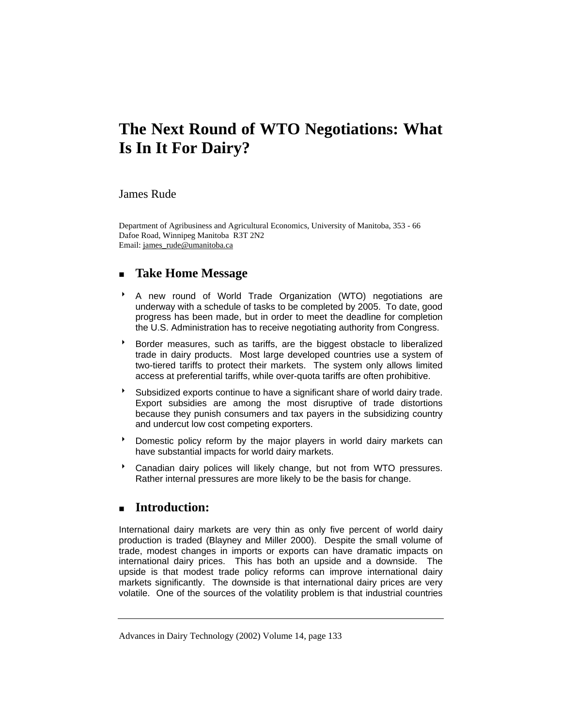# **The Next Round of WTO Negotiations: What Is In It For Dairy?**

## James Rude

Department of Agribusiness and Agricultural Economics, University of Manitoba, 353 - 66 Dafoe Road, Winnipeg Manitoba R3T 2N2 Email: james\_rude@umanitoba.ca

## **Take Home Message**

- 8 A new round of World Trade Organization (WTO) negotiations are underway with a schedule of tasks to be completed by 2005. To date, good progress has been made, but in order to meet the deadline for completion the U.S. Administration has to receive negotiating authority from Congress.
- **Border measures, such as tariffs, are the biggest obstacle to liberalized** trade in dairy products. Most large developed countries use a system of two-tiered tariffs to protect their markets. The system only allows limited access at preferential tariffs, while over-quota tariffs are often prohibitive.
- <sup>t</sup> Subsidized exports continue to have a significant share of world dairy trade. Export subsidies are among the most disruptive of trade distortions because they punish consumers and tax payers in the subsidizing country and undercut low cost competing exporters.
- **BEDOM** Domestic policy reform by the major players in world dairy markets can have substantial impacts for world dairy markets.
- **Canadian dairy polices will likely change, but not from WTO pressures.** Rather internal pressures are more likely to be the basis for change.

## **Introduction:**

International dairy markets are very thin as only five percent of world dairy production is traded (Blayney and Miller 2000). Despite the small volume of trade, modest changes in imports or exports can have dramatic impacts on international dairy prices. This has both an upside and a downside. The upside is that modest trade policy reforms can improve international dairy markets significantly. The downside is that international dairy prices are very volatile. One of the sources of the volatility problem is that industrial countries

Advances in Dairy Technology (2002) Volume 14, page 133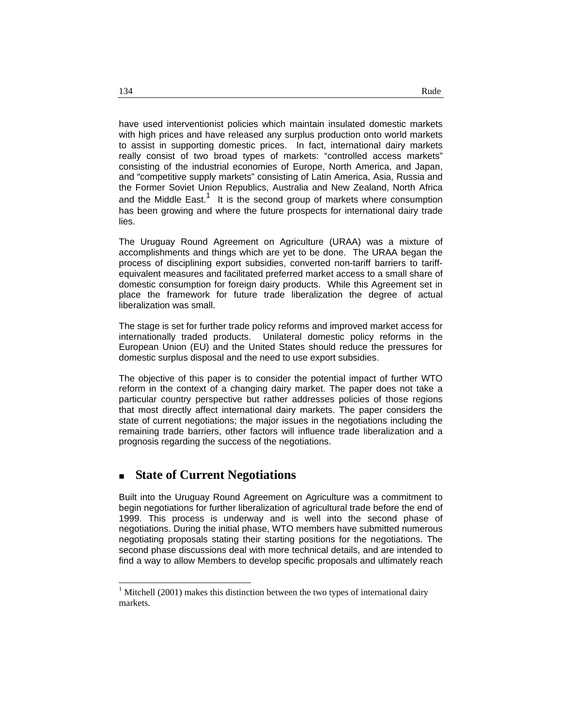have used interventionist policies which maintain insulated domestic markets with high prices and have released any surplus production onto world markets to assist in supporting domestic prices. In fact, international dairy markets really consist of two broad types of markets: "controlled access markets" consisting of the industrial economies of Europe, North America, and Japan, and "competitive supply markets" consisting of Latin America, Asia, Russia and the Former Soviet Union Republics, Australia and New Zealand, North Africa and the Middle East.<sup>1</sup> It is the second group of markets where consumption has been growing and where the future prospects for international dairy trade lies.

The Uruguay Round Agreement on Agriculture (URAA) was a mixture of accomplishments and things which are yet to be done. The URAA began the process of disciplining export subsidies, converted non-tariff barriers to tariffequivalent measures and facilitated preferred market access to a small share of domestic consumption for foreign dairy products. While this Agreement set in place the framework for future trade liberalization the degree of actual liberalization was small.

The stage is set for further trade policy reforms and improved market access for internationally traded products. Unilateral domestic policy reforms in the European Union (EU) and the United States should reduce the pressures for domestic surplus disposal and the need to use export subsidies.

The objective of this paper is to consider the potential impact of further WTO reform in the context of a changing dairy market. The paper does not take a particular country perspective but rather addresses policies of those regions that most directly affect international dairy markets. The paper considers the state of current negotiations; the major issues in the negotiations including the remaining trade barriers, other factors will influence trade liberalization and a prognosis regarding the success of the negotiations.

## **State of Current Negotiations**

Built into the Uruguay Round Agreement on Agriculture was a commitment to begin negotiations for further liberalization of agricultural trade before the end of 1999. This process is underway and is well into the second phase of negotiations. During the initial phase, WTO members have submitted numerous negotiating proposals stating their starting positions for the negotiations. The second phase discussions deal with more technical details, and are intended to find a way to allow Members to develop specific proposals and ultimately reach

-

 $1$  Mitchell (2001) makes this distinction between the two types of international dairy markets.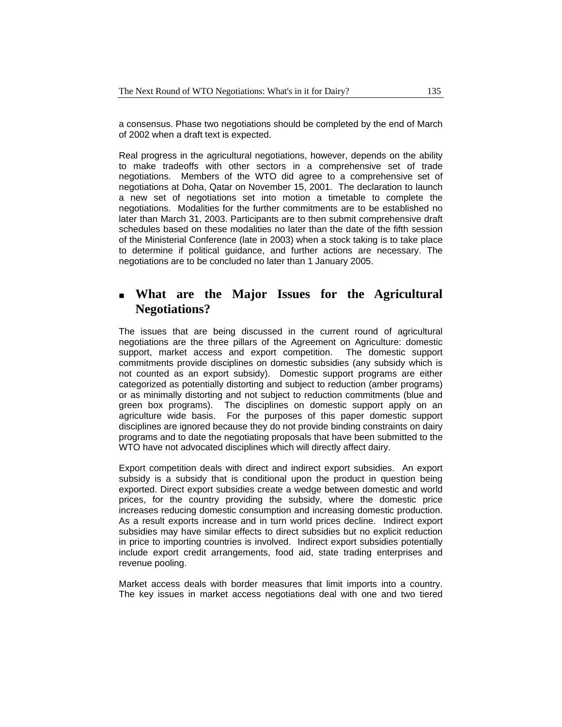a consensus. Phase two negotiations should be completed by the end of March of 2002 when a draft text is expected.

Real progress in the agricultural negotiations, however, depends on the ability to make tradeoffs with other sectors in a comprehensive set of trade negotiations. Members of the WTO did agree to a comprehensive set of negotiations at Doha, Qatar on November 15, 2001. The declaration to launch a new set of negotiations set into motion a timetable to complete the negotiations. Modalities for the further commitments are to be established no later than March 31, 2003. Participants are to then submit comprehensive draft schedules based on these modalities no later than the date of the fifth session of the Ministerial Conference (late in 2003) when a stock taking is to take place to determine if political guidance, and further actions are necessary. The negotiations are to be concluded no later than 1 January 2005.

## **What are the Major Issues for the Agricultural Negotiations?**

The issues that are being discussed in the current round of agricultural negotiations are the three pillars of the Agreement on Agriculture: domestic support, market access and export competition. The domestic support commitments provide disciplines on domestic subsidies (any subsidy which is not counted as an export subsidy). Domestic support programs are either categorized as potentially distorting and subject to reduction (amber programs) or as minimally distorting and not subject to reduction commitments (blue and green box programs). The disciplines on domestic support apply on an agriculture wide basis. For the purposes of this paper domestic support disciplines are ignored because they do not provide binding constraints on dairy programs and to date the negotiating proposals that have been submitted to the WTO have not advocated disciplines which will directly affect dairy.

Export competition deals with direct and indirect export subsidies. An export subsidy is a subsidy that is conditional upon the product in question being exported. Direct export subsidies create a wedge between domestic and world prices, for the country providing the subsidy, where the domestic price increases reducing domestic consumption and increasing domestic production. As a result exports increase and in turn world prices decline. Indirect export subsidies may have similar effects to direct subsidies but no explicit reduction in price to importing countries is involved. Indirect export subsidies potentially include export credit arrangements, food aid, state trading enterprises and revenue pooling.

Market access deals with border measures that limit imports into a country. The key issues in market access negotiations deal with one and two tiered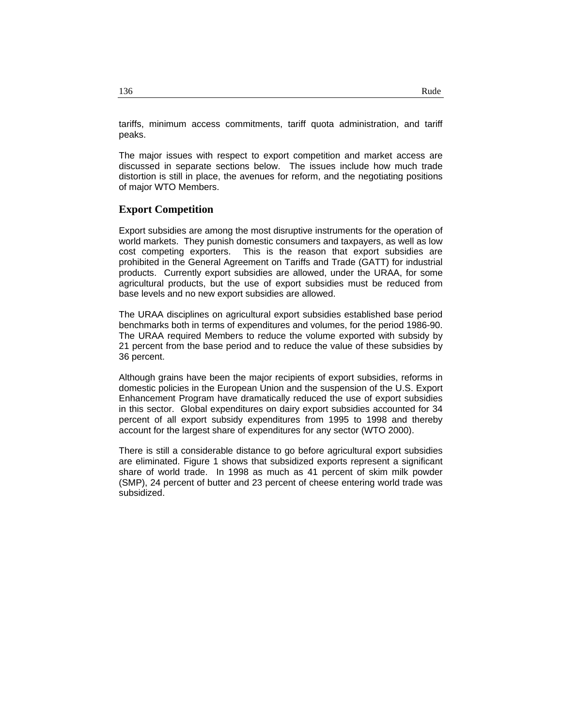tariffs, minimum access commitments, tariff quota administration, and tariff peaks.

The major issues with respect to export competition and market access are discussed in separate sections below. The issues include how much trade distortion is still in place, the avenues for reform, and the negotiating positions of major WTO Members.

#### **Export Competition**

Export subsidies are among the most disruptive instruments for the operation of world markets. They punish domestic consumers and taxpayers, as well as low cost competing exporters. This is the reason that export subsidies are prohibited in the General Agreement on Tariffs and Trade (GATT) for industrial products. Currently export subsidies are allowed, under the URAA, for some agricultural products, but the use of export subsidies must be reduced from base levels and no new export subsidies are allowed.

The URAA disciplines on agricultural export subsidies established base period benchmarks both in terms of expenditures and volumes, for the period 1986-90. The URAA required Members to reduce the volume exported with subsidy by 21 percent from the base period and to reduce the value of these subsidies by 36 percent.

Although grains have been the major recipients of export subsidies, reforms in domestic policies in the European Union and the suspension of the U.S. Export Enhancement Program have dramatically reduced the use of export subsidies in this sector. Global expenditures on dairy export subsidies accounted for 34 percent of all export subsidy expenditures from 1995 to 1998 and thereby account for the largest share of expenditures for any sector (WTO 2000).

There is still a considerable distance to go before agricultural export subsidies are eliminated. Figure 1 shows that subsidized exports represent a significant share of world trade. In 1998 as much as 41 percent of skim milk powder (SMP), 24 percent of butter and 23 percent of cheese entering world trade was subsidized.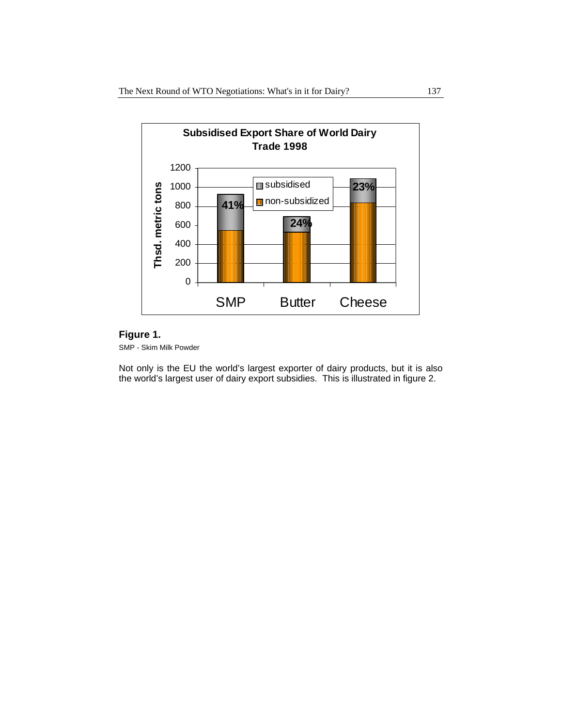

## **Figure 1.**

SMP - Skim Milk Powder

Not only is the EU the world's largest exporter of dairy products, but it is also the world's largest user of dairy export subsidies. This is illustrated in figure 2.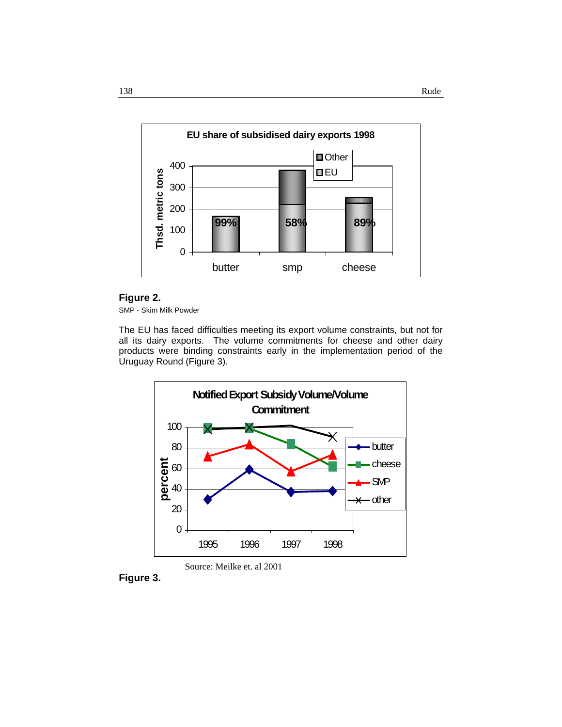

## **Figure 2.**

SMP - Skim Milk Powder

The EU has faced difficulties meeting its export volume constraints, but not for all its dairy exports. The volume commitments for cheese and other dairy products were binding constraints early in the implementation period of the Uruguay Round (Figure 3).





**Figure 3.**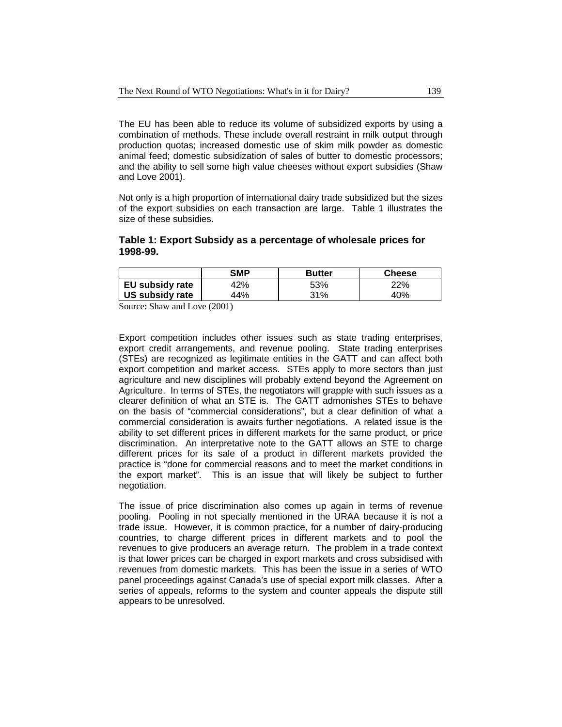The EU has been able to reduce its volume of subsidized exports by using a combination of methods. These include overall restraint in milk output through production quotas; increased domestic use of skim milk powder as domestic animal feed; domestic subsidization of sales of butter to domestic processors; and the ability to sell some high value cheeses without export subsidies (Shaw and Love 2001).

Not only is a high proportion of international dairy trade subsidized but the sizes of the export subsidies on each transaction are large. Table 1 illustrates the size of these subsidies.

#### **Table 1: Export Subsidy as a percentage of wholesale prices for 1998-99.**

|                 | <b>SMP</b> | <b>Butter</b> | Cheese |
|-----------------|------------|---------------|--------|
| EU subsidy rate | 42%        | 53%           | 22%    |
| US subsidy rate | 44%        | 31%           | 40%    |

Source: Shaw and Love (2001)

Export competition includes other issues such as state trading enterprises, export credit arrangements, and revenue pooling. State trading enterprises (STEs) are recognized as legitimate entities in the GATT and can affect both export competition and market access. STEs apply to more sectors than just agriculture and new disciplines will probably extend beyond the Agreement on Agriculture. In terms of STEs, the negotiators will grapple with such issues as a clearer definition of what an STE is. The GATT admonishes STEs to behave on the basis of "commercial considerations", but a clear definition of what a commercial consideration is awaits further negotiations. A related issue is the ability to set different prices in different markets for the same product, or price discrimination. An interpretative note to the GATT allows an STE to charge different prices for its sale of a product in different markets provided the practice is "done for commercial reasons and to meet the market conditions in the export market". This is an issue that will likely be subject to further negotiation.

The issue of price discrimination also comes up again in terms of revenue pooling. Pooling in not specially mentioned in the URAA because it is not a trade issue. However, it is common practice, for a number of dairy-producing countries, to charge different prices in different markets and to pool the revenues to give producers an average return. The problem in a trade context is that lower prices can be charged in export markets and cross subsidised with revenues from domestic markets. This has been the issue in a series of WTO panel proceedings against Canada's use of special export milk classes. After a series of appeals, reforms to the system and counter appeals the dispute still appears to be unresolved.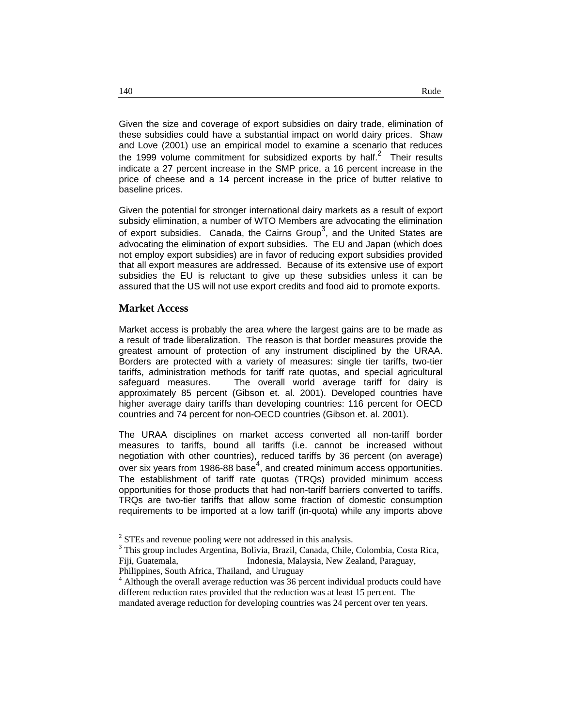Given the size and coverage of export subsidies on dairy trade, elimination of these subsidies could have a substantial impact on world dairy prices. Shaw and Love (2001) use an empirical model to examine a scenario that reduces the 1999 volume commitment for subsidized exports by half.<sup>2</sup> Their results indicate a 27 percent increase in the SMP price, a 16 percent increase in the price of cheese and a 14 percent increase in the price of butter relative to baseline prices.

Given the potential for stronger international dairy markets as a result of export subsidy elimination, a number of WTO Members are advocating the elimination of export subsidies. Canada, the Cairns Group<sup>3</sup>, and the United States are advocating the elimination of export subsidies. The EU and Japan (which does not employ export subsidies) are in favor of reducing export subsidies provided that all export measures are addressed. Because of its extensive use of export subsidies the EU is reluctant to give up these subsidies unless it can be assured that the US will not use export credits and food aid to promote exports.

#### **Market Access**

1

Market access is probably the area where the largest gains are to be made as a result of trade liberalization. The reason is that border measures provide the greatest amount of protection of any instrument disciplined by the URAA. Borders are protected with a variety of measures: single tier tariffs, two-tier tariffs, administration methods for tariff rate quotas, and special agricultural safeguard measures. The overall world average tariff for dairy is approximately 85 percent (Gibson et. al. 2001). Developed countries have higher average dairy tariffs than developing countries: 116 percent for OECD countries and 74 percent for non-OECD countries (Gibson et. al. 2001).

The URAA disciplines on market access converted all non-tariff border measures to tariffs, bound all tariffs (i.e. cannot be increased without negotiation with other countries), reduced tariffs by 36 percent (on average) over six years from 1986-88 base<sup>4</sup>, and created minimum access opportunities. The establishment of tariff rate quotas (TRQs) provided minimum access opportunities for those products that had non-tariff barriers converted to tariffs. TRQs are two-tier tariffs that allow some fraction of domestic consumption requirements to be imported at a low tariff (in-quota) while any imports above

<sup>&</sup>lt;sup>2</sup> STEs and revenue pooling were not addressed in this analysis.

<sup>&</sup>lt;sup>3</sup> This group includes Argentina, Bolivia, Brazil, Canada, Chile, Colombia, Costa Rica, Fiji, Guatemala, Indonesia, Malaysia, New Zealand, Paraguay, Philippines, South Africa, Thailand, and Uruguay

<sup>&</sup>lt;sup>4</sup> Although the overall average reduction was 36 percent individual products could have different reduction rates provided that the reduction was at least 15 percent. The mandated average reduction for developing countries was 24 percent over ten years.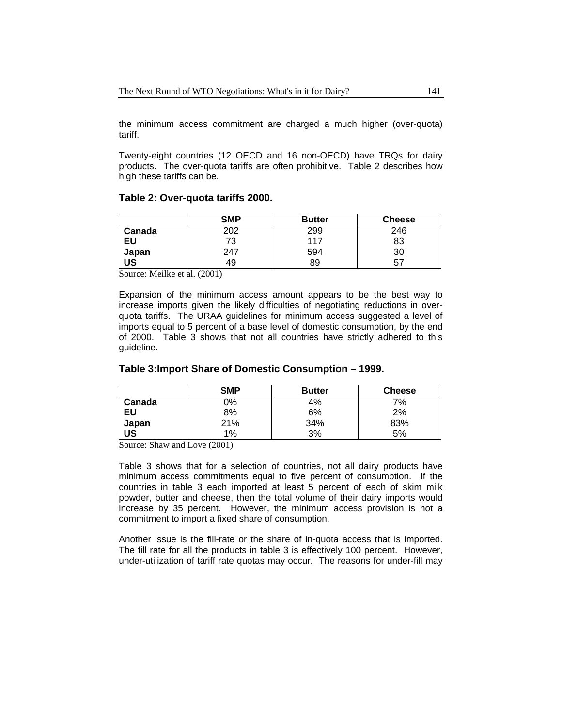the minimum access commitment are charged a much higher (over-quota) tariff.

Twenty-eight countries (12 OECD and 16 non-OECD) have TRQs for dairy products. The over-quota tariffs are often prohibitive. Table 2 describes how high these tariffs can be.

#### **Table 2: Over-quota tariffs 2000.**

|           | <b>SMP</b> | <b>Butter</b> | <b>Cheese</b> |
|-----------|------------|---------------|---------------|
| Canada    | 202        | 299           | 246           |
| EU        | 73         | 117           | 83            |
| Japan     | 247        | 594           | 30            |
| <b>US</b> | 49         | 89            | 57            |

Source: Meilke et al. (2001)

Expansion of the minimum access amount appears to be the best way to increase imports given the likely difficulties of negotiating reductions in overquota tariffs. The URAA guidelines for minimum access suggested a level of imports equal to 5 percent of a base level of domestic consumption, by the end of 2000. Table 3 shows that not all countries have strictly adhered to this guideline.

## **Table 3:Import Share of Domestic Consumption – 1999.**

|           | <b>SMP</b> | <b>Butter</b> | <b>Cheese</b> |
|-----------|------------|---------------|---------------|
| Canada    | 0%         | 4%            | 7%            |
| EU        | 8%         | 6%            | 2%            |
| Japan     | 21%        | 34%           | 83%           |
| <b>US</b> | 1%         | 3%            | 5%            |

Source: Shaw and Love (2001)

Table 3 shows that for a selection of countries, not all dairy products have minimum access commitments equal to five percent of consumption. If the countries in table 3 each imported at least 5 percent of each of skim milk powder, butter and cheese, then the total volume of their dairy imports would increase by 35 percent. However, the minimum access provision is not a commitment to import a fixed share of consumption.

Another issue is the fill-rate or the share of in-quota access that is imported. The fill rate for all the products in table 3 is effectively 100 percent. However, under-utilization of tariff rate quotas may occur. The reasons for under-fill may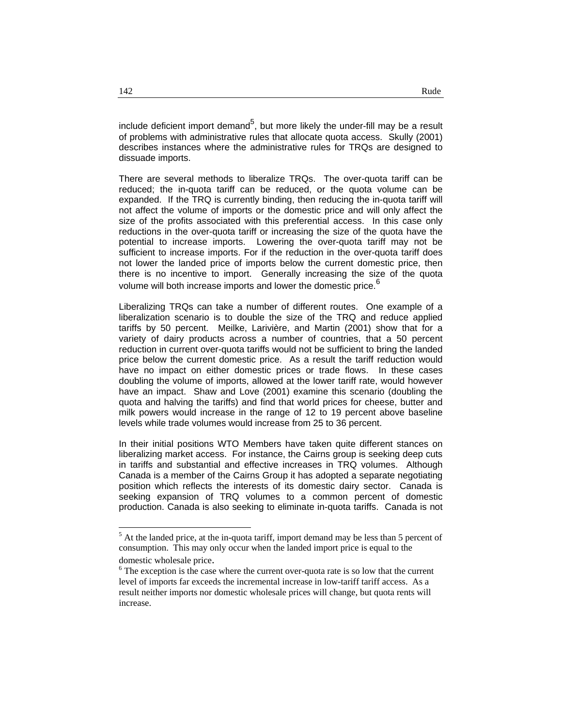include deficient import demand<sup>5</sup>, but more likely the under-fill may be a result of problems with administrative rules that allocate quota access. Skully (2001) describes instances where the administrative rules for TRQs are designed to dissuade imports.

There are several methods to liberalize TRQs. The over-quota tariff can be reduced; the in-quota tariff can be reduced, or the quota volume can be expanded. If the TRQ is currently binding, then reducing the in-quota tariff will not affect the volume of imports or the domestic price and will only affect the size of the profits associated with this preferential access. In this case only reductions in the over-quota tariff or increasing the size of the quota have the potential to increase imports. Lowering the over-quota tariff may not be sufficient to increase imports. For if the reduction in the over-quota tariff does not lower the landed price of imports below the current domestic price, then there is no incentive to import. Generally increasing the size of the quota volume will both increase imports and lower the domestic price.<sup>6</sup>

Liberalizing TRQs can take a number of different routes. One example of a liberalization scenario is to double the size of the TRQ and reduce applied tariffs by 50 percent. Meilke, Larivière, and Martin (2001) show that for a variety of dairy products across a number of countries, that a 50 percent reduction in current over-quota tariffs would not be sufficient to bring the landed price below the current domestic price. As a result the tariff reduction would have no impact on either domestic prices or trade flows. In these cases doubling the volume of imports, allowed at the lower tariff rate, would however have an impact. Shaw and Love (2001) examine this scenario (doubling the quota and halving the tariffs) and find that world prices for cheese, butter and milk powers would increase in the range of 12 to 19 percent above baseline levels while trade volumes would increase from 25 to 36 percent.

In their initial positions WTO Members have taken quite different stances on liberalizing market access. For instance, the Cairns group is seeking deep cuts in tariffs and substantial and effective increases in TRQ volumes. Although Canada is a member of the Cairns Group it has adopted a separate negotiating position which reflects the interests of its domestic dairy sector. Canada is seeking expansion of TRQ volumes to a common percent of domestic production. Canada is also seeking to eliminate in-quota tariffs. Canada is not

-

 $<sup>5</sup>$  At the landed price, at the in-quota tariff, import demand may be less than 5 percent of</sup> consumption. This may only occur when the landed import price is equal to the domestic wholesale price.

 $6$  The exception is the case where the current over-quota rate is so low that the current level of imports far exceeds the incremental increase in low-tariff tariff access. As a result neither imports nor domestic wholesale prices will change, but quota rents will increase.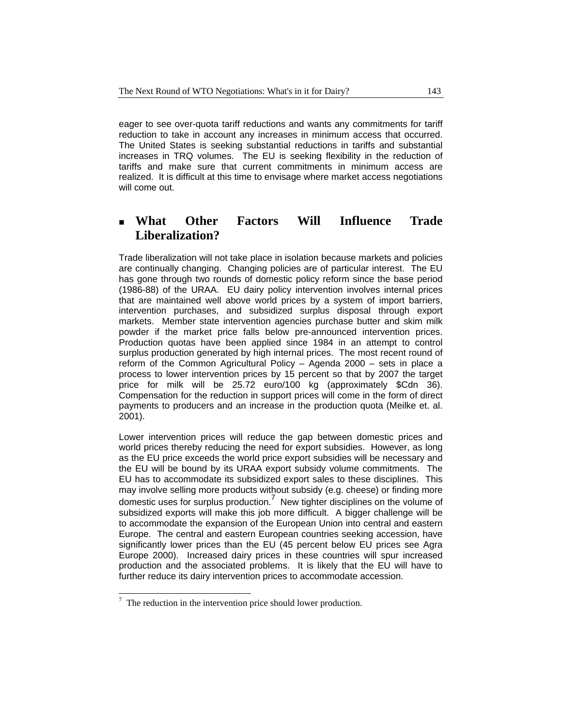eager to see over-quota tariff reductions and wants any commitments for tariff reduction to take in account any increases in minimum access that occurred. The United States is seeking substantial reductions in tariffs and substantial increases in TRQ volumes. The EU is seeking flexibility in the reduction of tariffs and make sure that current commitments in minimum access are realized. It is difficult at this time to envisage where market access negotiations will come out.

## **What Other Factors Will Influence Trade Liberalization?**

Trade liberalization will not take place in isolation because markets and policies are continually changing. Changing policies are of particular interest. The EU has gone through two rounds of domestic policy reform since the base period (1986-88) of the URAA. EU dairy policy intervention involves internal prices that are maintained well above world prices by a system of import barriers, intervention purchases, and subsidized surplus disposal through export markets. Member state intervention agencies purchase butter and skim milk powder if the market price falls below pre-announced intervention prices. Production quotas have been applied since 1984 in an attempt to control surplus production generated by high internal prices. The most recent round of reform of the Common Agricultural Policy – Agenda 2000 – sets in place a process to lower intervention prices by 15 percent so that by 2007 the target price for milk will be 25.72 euro/100 kg (approximately \$Cdn 36). Compensation for the reduction in support prices will come in the form of direct payments to producers and an increase in the production quota (Meilke et. al. 2001).

Lower intervention prices will reduce the gap between domestic prices and world prices thereby reducing the need for export subsidies. However, as long as the EU price exceeds the world price export subsidies will be necessary and the EU will be bound by its URAA export subsidy volume commitments. The EU has to accommodate its subsidized export sales to these disciplines. This may involve selling more products without subsidy (e.g. cheese) or finding more domestic uses for surplus production.7 New tighter disciplines on the volume of subsidized exports will make this job more difficult. A bigger challenge will be to accommodate the expansion of the European Union into central and eastern Europe. The central and eastern European countries seeking accession, have significantly lower prices than the EU (45 percent below EU prices see Agra Europe 2000). Increased dairy prices in these countries will spur increased production and the associated problems. It is likely that the EU will have to further reduce its dairy intervention prices to accommodate accession.

 $\overline{a}$  The reduction in the intervention price should lower production.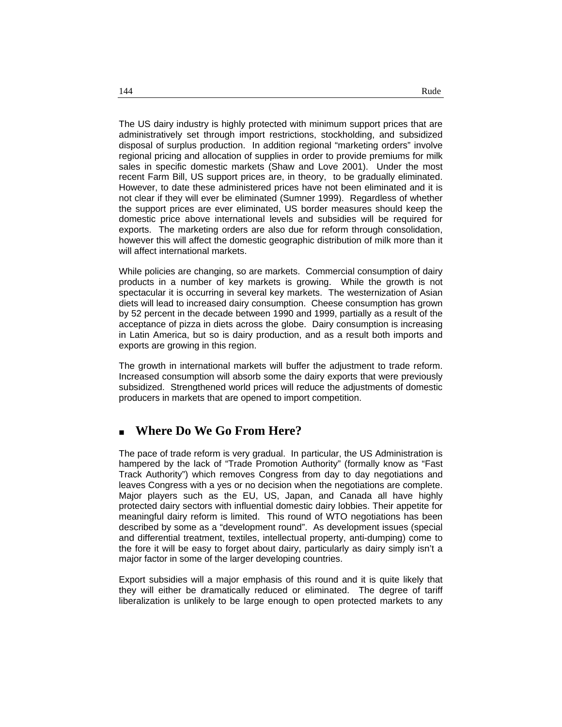The US dairy industry is highly protected with minimum support prices that are administratively set through import restrictions, stockholding, and subsidized disposal of surplus production. In addition regional "marketing orders" involve regional pricing and allocation of supplies in order to provide premiums for milk sales in specific domestic markets (Shaw and Love 2001). Under the most recent Farm Bill, US support prices are, in theory, to be gradually eliminated. However, to date these administered prices have not been eliminated and it is not clear if they will ever be eliminated (Sumner 1999). Regardless of whether the support prices are ever eliminated, US border measures should keep the domestic price above international levels and subsidies will be required for exports. The marketing orders are also due for reform through consolidation, however this will affect the domestic geographic distribution of milk more than it will affect international markets.

While policies are changing, so are markets. Commercial consumption of dairy products in a number of key markets is growing. While the growth is not spectacular it is occurring in several key markets. The westernization of Asian diets will lead to increased dairy consumption. Cheese consumption has grown by 52 percent in the decade between 1990 and 1999, partially as a result of the acceptance of pizza in diets across the globe. Dairy consumption is increasing in Latin America, but so is dairy production, and as a result both imports and exports are growing in this region.

The growth in international markets will buffer the adjustment to trade reform. Increased consumption will absorb some the dairy exports that were previously subsidized. Strengthened world prices will reduce the adjustments of domestic producers in markets that are opened to import competition.

# **Where Do We Go From Here?**

The pace of trade reform is very gradual. In particular, the US Administration is hampered by the lack of "Trade Promotion Authority" (formally know as "Fast Track Authority") which removes Congress from day to day negotiations and leaves Congress with a yes or no decision when the negotiations are complete. Major players such as the EU, US, Japan, and Canada all have highly protected dairy sectors with influential domestic dairy lobbies. Their appetite for meaningful dairy reform is limited. This round of WTO negotiations has been described by some as a "development round". As development issues (special and differential treatment, textiles, intellectual property, anti-dumping) come to the fore it will be easy to forget about dairy, particularly as dairy simply isn't a major factor in some of the larger developing countries.

Export subsidies will a major emphasis of this round and it is quite likely that they will either be dramatically reduced or eliminated. The degree of tariff liberalization is unlikely to be large enough to open protected markets to any